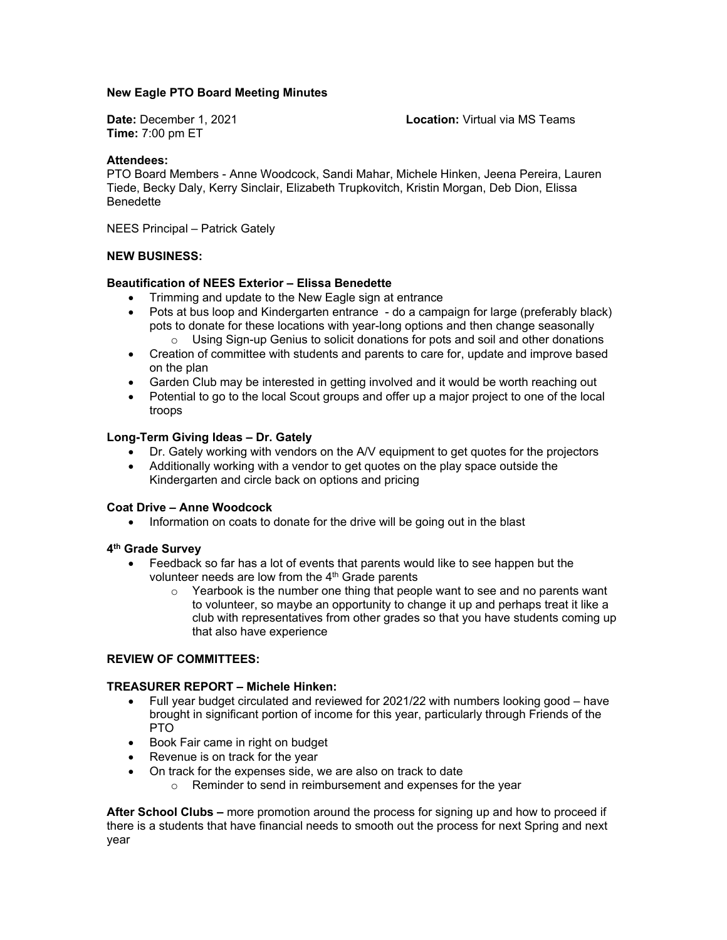# **New Eagle PTO Board Meeting Minutes**

**Time:** 7:00 pm ET

**Date:** December 1, 2021 **Location:** Virtual via MS Teams

### **Attendees:**

PTO Board Members - Anne Woodcock, Sandi Mahar, Michele Hinken, Jeena Pereira, Lauren Tiede, Becky Daly, Kerry Sinclair, Elizabeth Trupkovitch, Kristin Morgan, Deb Dion, Elissa Benedette

NEES Principal – Patrick Gately

# **NEW BUSINESS:**

# **Beautification of NEES Exterior – Elissa Benedette**

- Trimming and update to the New Eagle sign at entrance
- Pots at bus loop and Kindergarten entrance do a campaign for large (preferably black) pots to donate for these locations with year-long options and then change seasonally o Using Sign-up Genius to solicit donations for pots and soil and other donations
- Creation of committee with students and parents to care for, update and improve based on the plan
- Garden Club may be interested in getting involved and it would be worth reaching out
- Potential to go to the local Scout groups and offer up a major project to one of the local troops

#### **Long-Term Giving Ideas – Dr. Gately**

- Dr. Gately working with vendors on the A/V equipment to get quotes for the projectors
- Additionally working with a vendor to get quotes on the play space outside the Kindergarten and circle back on options and pricing

#### **Coat Drive – Anne Woodcock**

• Information on coats to donate for the drive will be going out in the blast

# **4th Grade Survey**

- Feedback so far has a lot of events that parents would like to see happen but the volunteer needs are low from the  $4<sup>th</sup>$  Grade parents
	- $\circ$  Yearbook is the number one thing that people want to see and no parents want to volunteer, so maybe an opportunity to change it up and perhaps treat it like a club with representatives from other grades so that you have students coming up that also have experience

### **REVIEW OF COMMITTEES:**

#### **TREASURER REPORT – Michele Hinken:**

- Full year budget circulated and reviewed for 2021/22 with numbers looking good have brought in significant portion of income for this year, particularly through Friends of the PTO
- Book Fair came in right on budget
- Revenue is on track for the year
- On track for the expenses side, we are also on track to date
	- o Reminder to send in reimbursement and expenses for the year

**After School Clubs –** more promotion around the process for signing up and how to proceed if there is a students that have financial needs to smooth out the process for next Spring and next year